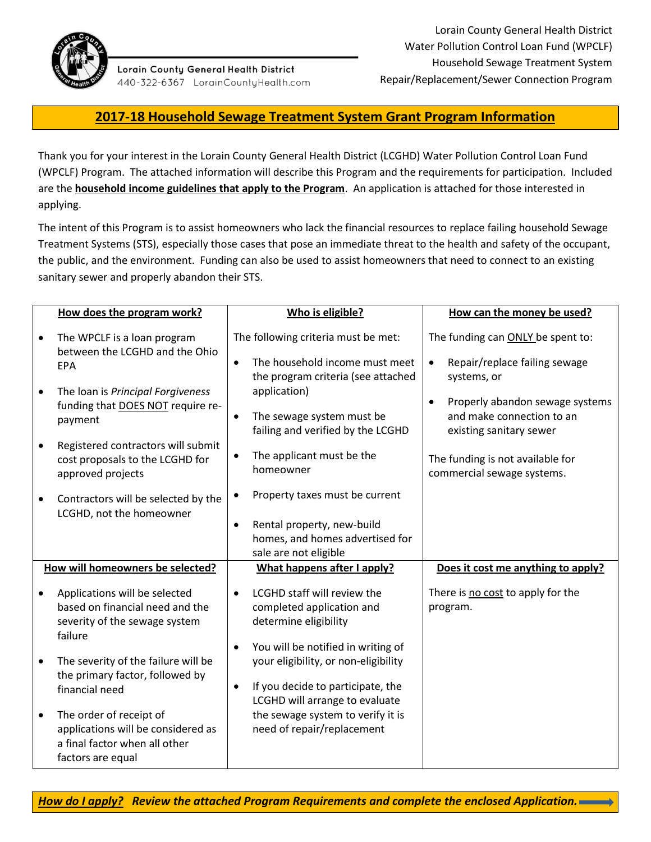

Lorain County General Health District 440-322-6367 LorainCountyHealth.com

# **2017-18 Household Sewage Treatment System Grant Program Information**

Thank you for your interest in the Lorain County General Health District (LCGHD) Water Pollution Control Loan Fund (WPCLF) Program. The attached information will describe this Program and the requirements for participation. Included are the **household income guidelines that apply to the Program**. An application is attached for those interested in applying.

The intent of this Program is to assist homeowners who lack the financial resources to replace failing household Sewage Treatment Systems (STS), especially those cases that pose an immediate threat to the health and safety of the occupant, the public, and the environment. Funding can also be used to assist homeowners that need to connect to an existing sanitary sewer and properly abandon their STS.

|           | How does the program work?                                                                                          | Who is eligible?                                                                                                                                  | How can the money be used?                                                                           |
|-----------|---------------------------------------------------------------------------------------------------------------------|---------------------------------------------------------------------------------------------------------------------------------------------------|------------------------------------------------------------------------------------------------------|
|           | The WPCLF is a loan program<br>between the LCGHD and the Ohio<br><b>EPA</b>                                         | The following criteria must be met:<br>The household income must meet<br>$\bullet$<br>the program criteria (see attached                          | The funding can ONLY be spent to:<br>Repair/replace failing sewage<br>$\bullet$<br>systems, or       |
| $\bullet$ | The loan is Principal Forgiveness<br>funding that DOES NOT require re-<br>payment                                   | application)<br>The sewage system must be<br>failing and verified by the LCGHD                                                                    | Properly abandon sewage systems<br>$\bullet$<br>and make connection to an<br>existing sanitary sewer |
| $\bullet$ | Registered contractors will submit<br>cost proposals to the LCGHD for<br>approved projects                          | The applicant must be the<br>$\bullet$<br>homeowner                                                                                               | The funding is not available for<br>commercial sewage systems.                                       |
| $\bullet$ | Contractors will be selected by the<br>LCGHD, not the homeowner                                                     | Property taxes must be current<br>Rental property, new-build<br>$\bullet$<br>homes, and homes advertised for<br>sale are not eligible             |                                                                                                      |
|           | How will homeowners be selected?                                                                                    | What happens after I apply?                                                                                                                       | Does it cost me anything to apply?                                                                   |
| $\bullet$ | Applications will be selected<br>based on financial need and the<br>severity of the sewage system<br>failure        | LCGHD staff will review the<br>$\bullet$<br>completed application and<br>determine eligibility<br>You will be notified in writing of<br>$\bullet$ | There is no cost to apply for the<br>program.                                                        |
| $\bullet$ | The severity of the failure will be<br>the primary factor, followed by<br>financial need                            | your eligibility, or non-eligibility<br>If you decide to participate, the<br>$\bullet$<br>LCGHD will arrange to evaluate                          |                                                                                                      |
| $\bullet$ | The order of receipt of<br>applications will be considered as<br>a final factor when all other<br>factors are equal | the sewage system to verify it is<br>need of repair/replacement                                                                                   |                                                                                                      |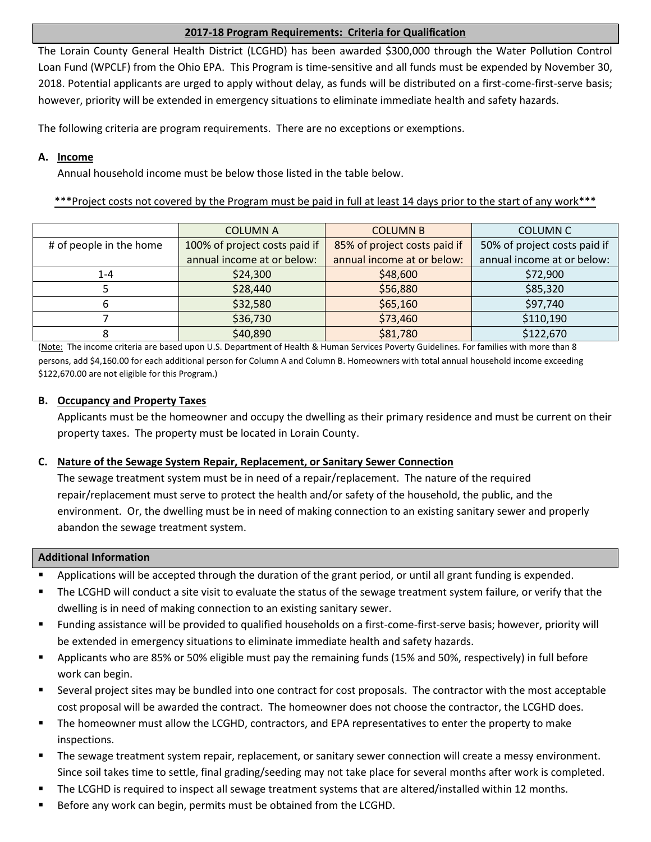# **2017-18 Program Requirements: Criteria for Qualification**

The Lorain County General Health District (LCGHD) has been awarded \$300,000 through the Water Pollution Control Loan Fund (WPCLF) from the Ohio EPA. This Program is time-sensitive and all funds must be expended by November 30, 2018. Potential applicants are urged to apply without delay, as funds will be distributed on a first-come-first-serve basis; however, priority will be extended in emergency situations to eliminate immediate health and safety hazards.

The following criteria are program requirements. There are no exceptions or exemptions.

# **A. Income**

Annual household income must be below those listed in the table below.

\*\*\*Project costs not covered by the Program must be paid in full at least 14 days prior to the start of any work\*\*\*

|                         | <b>COLUMN A</b>               | <b>COLUMN B</b>              | <b>COLUMN C</b>              |
|-------------------------|-------------------------------|------------------------------|------------------------------|
| # of people in the home | 100% of project costs paid if | 85% of project costs paid if | 50% of project costs paid if |
|                         | annual income at or below:    | annual income at or below:   | annual income at or below:   |
| $1 - 4$                 | \$24,300                      | \$48,600                     | \$72,900                     |
|                         | \$28,440                      | \$56,880                     | \$85,320                     |
|                         | \$32,580                      | \$65,160                     | \$97,740                     |
|                         | \$36,730                      | \$73,460                     | \$110,190                    |
|                         | \$40,890                      | \$81,780                     | \$122,670                    |

(Note: The income criteria are based upon U.S. Department of Health & Human Services Poverty Guidelines. For families with more than 8 persons, add \$4,160.00 for each additional person for Column A and Column B. Homeowners with total annual household income exceeding \$122,670.00 are not eligible for this Program.)

# **B. Occupancy and Property Taxes**

Applicants must be the homeowner and occupy the dwelling as their primary residence and must be current on their property taxes. The property must be located in Lorain County.

# **C. Nature of the Sewage System Repair, Replacement, or Sanitary Sewer Connection**

The sewage treatment system must be in need of a repair/replacement. The nature of the required repair/replacement must serve to protect the health and/or safety of the household, the public, and the environment. Or, the dwelling must be in need of making connection to an existing sanitary sewer and properly abandon the sewage treatment system.

## **Additional Information**

- Applications will be accepted through the duration of the grant period, or until all grant funding is expended.
- The LCGHD will conduct a site visit to evaluate the status of the sewage treatment system failure, or verify that the dwelling is in need of making connection to an existing sanitary sewer.
- Funding assistance will be provided to qualified households on a first-come-first-serve basis; however, priority will be extended in emergency situations to eliminate immediate health and safety hazards.
- Applicants who are 85% or 50% eligible must pay the remaining funds (15% and 50%, respectively) in full before work can begin.
- Several project sites may be bundled into one contract for cost proposals. The contractor with the most acceptable cost proposal will be awarded the contract. The homeowner does not choose the contractor, the LCGHD does.
- The homeowner must allow the LCGHD, contractors, and EPA representatives to enter the property to make inspections.
- The sewage treatment system repair, replacement, or sanitary sewer connection will create a messy environment. Since soil takes time to settle, final grading/seeding may not take place for several months after work is completed.
- The LCGHD is required to inspect all sewage treatment systems that are altered/installed within 12 months.
- Before any work can begin, permits must be obtained from the LCGHD.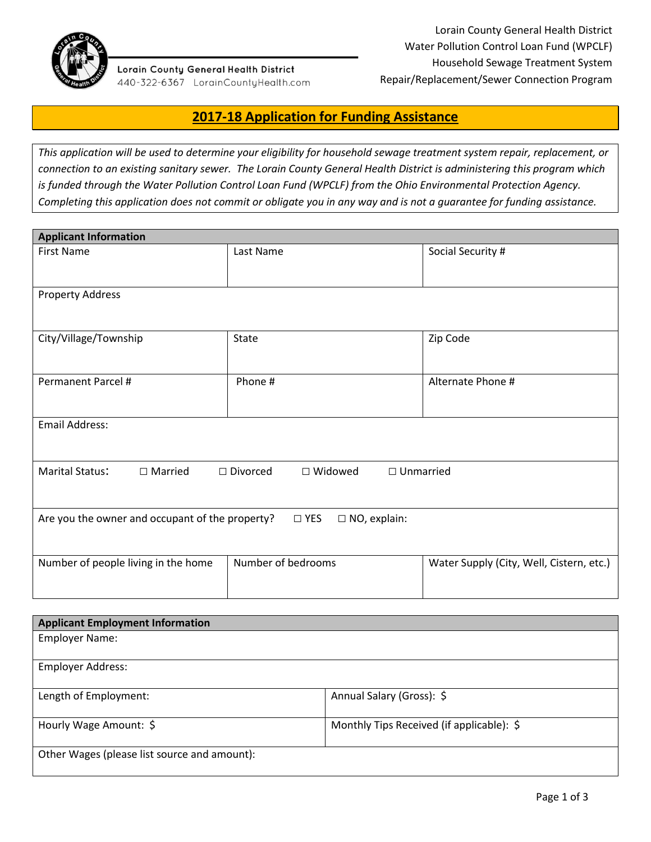

#### Lorain County General Health District 440-322-6367 LorainCountyHealth.com

# **2017-18 Application for Funding Assistance**

*This application will be used to determine your eligibility for household sewage treatment system repair, replacement, or connection to an existing sanitary sewer. The Lorain County General Health District is administering this program which is funded through the Water Pollution Control Loan Fund (WPCLF) from the Ohio Environmental Protection Agency. Completing this application does not commit or obligate you in any way and is not a guarantee for funding assistance.* 

| <b>Applicant Information</b>                                                               |                    |                                          |  |
|--------------------------------------------------------------------------------------------|--------------------|------------------------------------------|--|
| <b>First Name</b>                                                                          | Last Name          | Social Security #                        |  |
|                                                                                            |                    |                                          |  |
| <b>Property Address</b>                                                                    |                    |                                          |  |
|                                                                                            |                    |                                          |  |
| City/Village/Township                                                                      | <b>State</b>       | Zip Code                                 |  |
|                                                                                            |                    |                                          |  |
| Permanent Parcel #                                                                         | Phone #            | Alternate Phone #                        |  |
|                                                                                            |                    |                                          |  |
| <b>Email Address:</b>                                                                      |                    |                                          |  |
|                                                                                            |                    |                                          |  |
| Marital Status:<br>$\Box$ Married<br>$\Box$ Divorced<br>$\Box$ Widowed<br>$\Box$ Unmarried |                    |                                          |  |
|                                                                                            |                    |                                          |  |
| Are you the owner and occupant of the property?<br>$\square$ NO, explain:<br>$\Box$ YES    |                    |                                          |  |
|                                                                                            |                    |                                          |  |
|                                                                                            |                    |                                          |  |
| Number of people living in the home                                                        | Number of bedrooms | Water Supply (City, Well, Cistern, etc.) |  |
|                                                                                            |                    |                                          |  |

| <b>Applicant Employment Information</b>      |                                           |  |
|----------------------------------------------|-------------------------------------------|--|
| <b>Employer Name:</b>                        |                                           |  |
|                                              |                                           |  |
| <b>Employer Address:</b>                     |                                           |  |
|                                              |                                           |  |
| Length of Employment:                        | Annual Salary (Gross): \$                 |  |
|                                              |                                           |  |
| Hourly Wage Amount: \$                       | Monthly Tips Received (if applicable): \$ |  |
|                                              |                                           |  |
| Other Wages (please list source and amount): |                                           |  |
|                                              |                                           |  |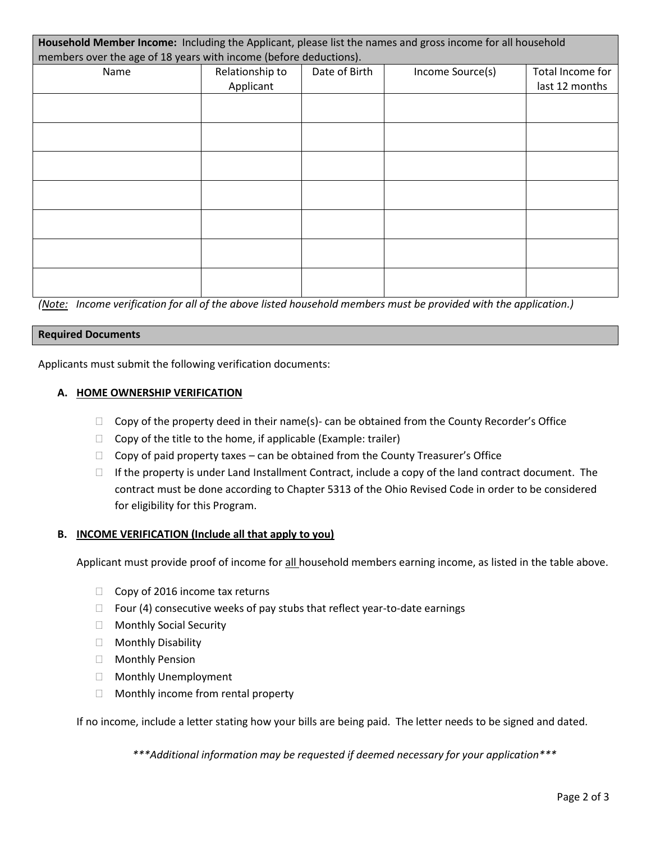| Household Member Income: Including the Applicant, please list the names and gross income for all household |                 |               |                  |                  |
|------------------------------------------------------------------------------------------------------------|-----------------|---------------|------------------|------------------|
| members over the age of 18 years with income (before deductions).                                          |                 |               |                  |                  |
| Name                                                                                                       | Relationship to | Date of Birth | Income Source(s) | Total Income for |
|                                                                                                            | Applicant       |               |                  | last 12 months   |
|                                                                                                            |                 |               |                  |                  |
|                                                                                                            |                 |               |                  |                  |
|                                                                                                            |                 |               |                  |                  |
|                                                                                                            |                 |               |                  |                  |
|                                                                                                            |                 |               |                  |                  |
|                                                                                                            |                 |               |                  |                  |
|                                                                                                            |                 |               |                  |                  |
|                                                                                                            |                 |               |                  |                  |
|                                                                                                            |                 |               |                  |                  |
|                                                                                                            |                 |               |                  |                  |
|                                                                                                            |                 |               |                  |                  |
|                                                                                                            |                 |               |                  |                  |
|                                                                                                            |                 |               |                  |                  |
|                                                                                                            |                 |               |                  |                  |

*(Note: Income verification for all of the above listed household members must be provided with the application.)*

#### **Required Documents**

Applicants must submit the following verification documents:

#### **A. HOME OWNERSHIP VERIFICATION**

- $\Box$  Copy of the property deed in their name(s)- can be obtained from the County Recorder's Office
- $\Box$  Copy of the title to the home, if applicable (Example: trailer)
- $\Box$  Copy of paid property taxes can be obtained from the County Treasurer's Office
- $\Box$  If the property is under Land Installment Contract, include a copy of the land contract document. The contract must be done according to Chapter 5313 of the Ohio Revised Code in order to be considered for eligibility for this Program.

## **B. INCOME VERIFICATION (Include all that apply to you)**

Applicant must provide proof of income for all household members earning income, as listed in the table above.

- $\Box$  Copy of 2016 income tax returns
- $\Box$  Four (4) consecutive weeks of pay stubs that reflect year-to-date earnings
- **Nonthly Social Security**
- □ Monthly Disability
- □ Monthly Pension
- □ Monthly Unemployment
- $\Box$  Monthly income from rental property

If no income, include a letter stating how your bills are being paid. The letter needs to be signed and dated.

*\*\*\*Additional information may be requested if deemed necessary for your application\*\*\**